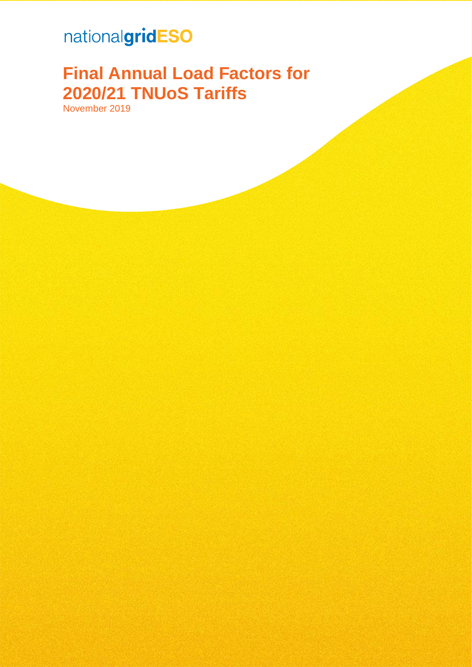# nationalgridESO

# **Final Annual Load Factors for 2020/21 TNUoS Tariffs**

November 2019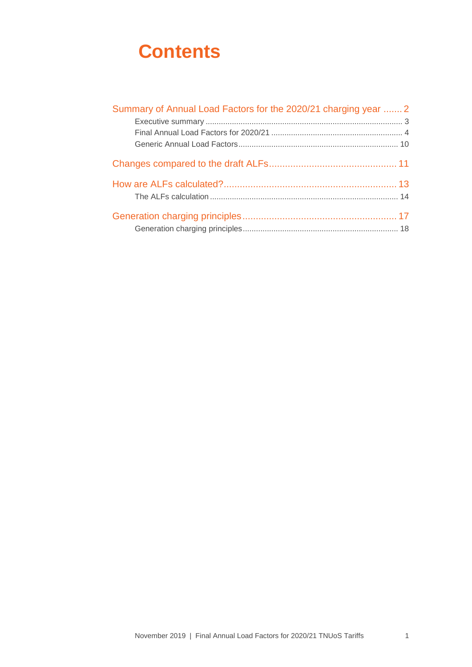## **Contents**

| Summary of Annual Load Factors for the 2020/21 charging year  2 |  |
|-----------------------------------------------------------------|--|
|                                                                 |  |
|                                                                 |  |
|                                                                 |  |
|                                                                 |  |
|                                                                 |  |
|                                                                 |  |
|                                                                 |  |
|                                                                 |  |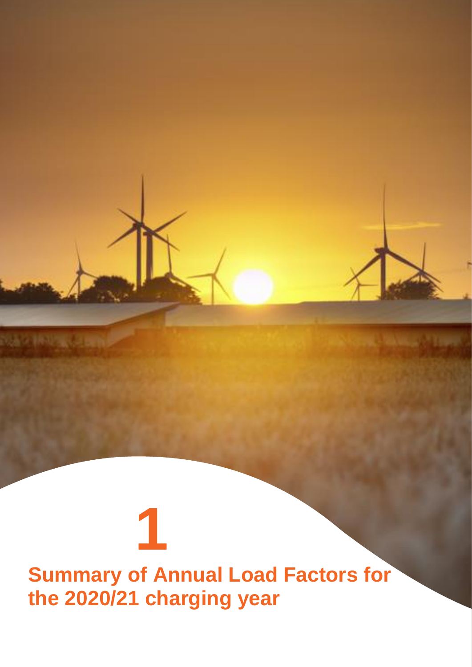# <span id="page-2-0"></span>**Summary of Annual Load Factors for the 2020/21 charging year**

**1**

NAV INVANCIAN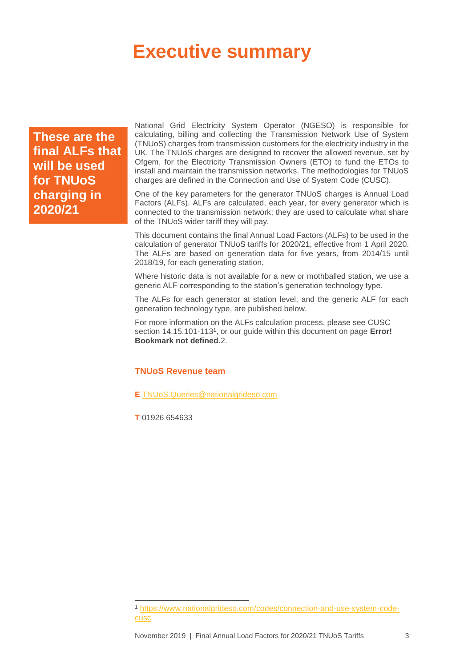## <span id="page-3-0"></span>**Executive summary**

**These are the final ALFs that will be used for TNUoS charging in 2020/21**

National Grid Electricity System Operator (NGESO) is responsible for calculating, billing and collecting the Transmission Network Use of System (TNUoS) charges from transmission customers for the electricity industry in the UK. The TNUoS charges are designed to recover the allowed revenue, set by Ofgem, for the Electricity Transmission Owners (ETO) to fund the ETOs to install and maintain the transmission networks. The methodologies for TNUoS charges are defined in the Connection and Use of System Code (CUSC).

One of the key parameters for the generator TNUoS charges is Annual Load Factors (ALFs). ALFs are calculated, each year, for every generator which is connected to the transmission network; they are used to calculate what share of the TNUoS wider tariff they will pay.

This document contains the final Annual Load Factors (ALFs) to be used in the calculation of generator TNUoS tariffs for 2020/21, effective from 1 April 2020. The ALFs are based on generation data for five years, from 2014/15 until 2018/19, for each generating station.

Where historic data is not available for a new or mothballed station, we use a generic ALF corresponding to the station's generation technology type.

The ALFs for each generator at station level, and the generic ALF for each generation technology type, are published below.

For more information on the ALFs calculation process, please see CUSC section 14.15.101-113<sup>1</sup>, or our guide within this document on page Error! **Bookmark not defined.**2.

### **TNUoS Revenue team**

**E** [TNUoS.Queries@nationalgrideso.com](mailto:TNUoS.Queries@nationalgrideso.com)

**T** 01926 654633

 $\overline{a}$ 

<sup>1</sup> [https://www.nationalgrideso.com/codes/connection-and-use-system-code](https://www.nationalgrideso.com/codes/connection-and-use-system-code-cusc)[cusc](https://www.nationalgrideso.com/codes/connection-and-use-system-code-cusc)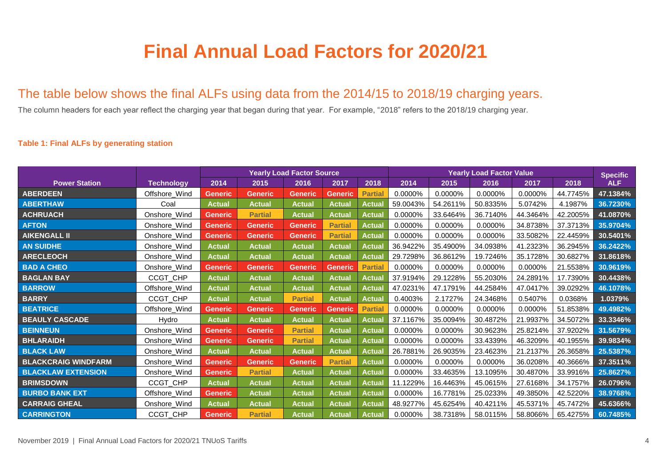# **Final Annual Load Factors for 2020/21**

### The table below shows the final ALFs using data from the 2014/15 to 2018/19 charging years.

The column headers for each year reflect the charging year that began during that year. For example, "2018" refers to the 2018/19 charging year.

### **Table 1: Final ALFs by generating station**

<span id="page-4-0"></span>

|                            |                   | <b>Yearly Load Factor Source</b> |                |                |                |                | <b>Yearly Load Factor Value</b> |          |          |          |          | <b>Specific</b> |
|----------------------------|-------------------|----------------------------------|----------------|----------------|----------------|----------------|---------------------------------|----------|----------|----------|----------|-----------------|
| <b>Power Station</b>       | <b>Technology</b> | 2014                             | 2015           | 2016           | 2017           | 2018           | 2014                            | 2015     | 2016     | 2017     | 2018     | <b>ALF</b>      |
| <b>ABERDEEN</b>            | Offshore_Wind     | <b>Generic</b>                   | <b>Generic</b> | <b>Generic</b> | <b>Generic</b> | <b>Partial</b> | 0.0000%                         | 0.0000%  | 0.0000%  | 0.0000%  | 44.7745% | 47.1384%        |
| <b>ABERTHAW</b>            | Coal              | <b>Actual</b>                    | <b>Actual</b>  | <b>Actual</b>  | <b>Actual</b>  | Actual         | 59.0043%                        | 54.2611% | 50.8335% | 5.0742%  | 4.1987%  | 36.7230%        |
| <b>ACHRUACH</b>            | Onshore_Wind      | <b>Generic</b>                   | <b>Partial</b> | <b>Actual</b>  | <b>Actual</b>  | Actual         | 0.0000%                         | 33.6464% | 36.7140% | 44.3464% | 42.2005% | 41.0870%        |
| <b>AFTON</b>               | Onshore_Wind      | Generic                          | <b>Generic</b> | <b>Generic</b> | <b>Partial</b> | Actual         | 0.0000%                         | 0.0000%  | 0.0000%  | 34.8738% | 37.3713% | 35.9704%        |
| <b>AIKENGALL II</b>        | Onshore_Wind      | Generic                          | <b>Generic</b> | <b>Generic</b> | <b>Partial</b> | Actual         | 0.0000%                         | 0.0000%  | 0.0000%  | 33.5082% | 22.4459% | 30.5401%        |
| <b>AN SUIDHE</b>           | Onshore_Wind      | <b>Actual</b>                    | <b>Actual</b>  | <b>Actual</b>  | <b>Actual</b>  | <b>Actual</b>  | 36.9422%                        | 35.4900% | 34.0938% | 41.2323% | 36.2945% | 36.2422%        |
| <b>ARECLEOCH</b>           | Onshore_Wind      | <b>Actual</b>                    | <b>Actual</b>  | <b>Actual</b>  | <b>Actual</b>  | Actual         | 29.7298%                        | 36.8612% | 19.7246% | 35.1728% | 30.6827% | 31.8618%        |
| <b>BAD A CHEO</b>          | Onshore_Wind      | Generic                          | <b>Generic</b> | <b>Generic</b> | Generic        | <b>Partial</b> | 0.0000%                         | 0.0000%  | 0.0000%  | 0.0000%  | 21.5538% | 30.9619%        |
| <b>BAGLAN BAY</b>          | CCGT_CHP          | <b>Actual</b>                    | <b>Actual</b>  | <b>Actual</b>  | Actual         | Actual         | 37.9194%                        | 29.1228% | 55.2030% | 24.2891% | 17.7390% | 30.4438%        |
| <b>BARROW</b>              | Offshore_Wind     | <b>Actual</b>                    | <b>Actual</b>  | <b>Actual</b>  | <b>Actual</b>  | Actual         | 47.0231%                        | 47.1791% | 44.2584% | 47.0417% | 39.0292% | 46.1078%        |
| <b>BARRY</b>               | CCGT_CHP          | <b>Actual</b>                    | <b>Actual</b>  | <b>Partial</b> | <b>Actual</b>  | Actual         | 0.4003%                         | 2.1727%  | 24.3468% | 0.5407%  | 0.0368%  | 1.0379%         |
| <b>BEATRICE</b>            | Offshore_Wind     | <b>Generic</b>                   | <b>Generic</b> | <b>Generic</b> | <b>Generic</b> | <b>Partial</b> | 0.0000%                         | 0.0000%  | 0.0000%  | 0.0000%  | 51.8538% | 49.4982%        |
| <b>BEAULY CASCADE</b>      | Hydro             | <b>Actual</b>                    | <b>Actual</b>  | <b>Actual</b>  | <b>Actual</b>  | Actual         | 37.1167%                        | 35.0094% | 30.4872% | 21.9937% | 34.5072% | 33.3346%        |
| <b>BEINNEUN</b>            | Onshore_Wind      | <b>Generic</b>                   | <b>Generic</b> | <b>Partial</b> | <b>Actual</b>  | <b>Actual</b>  | 0.0000%                         | 0.0000%  | 30.9623% | 25.8214% | 37.9202% | 31.5679%        |
| <b>BHLARAIDH</b>           | Onshore_Wind      | Generic                          | <b>Generic</b> | <b>Partial</b> | <b>Actual</b>  | Actual         | 0.0000%                         | 0.0000%  | 33.4339% | 46.3209% | 40.1955% | 39.9834%        |
| <b>BLACK LAW</b>           | Onshore_Wind      | <b>Actual</b>                    | <b>Actual</b>  | <b>Actual</b>  | <b>Actual</b>  | <b>Actua</b>   | 26.7881%                        | 26.9035% | 23.4623% | 21.2137% | 26.3658% | 25.5387%        |
| <b>BLACKCRAIG WINDFARM</b> | Onshore_Wind      | <b>Generic</b>                   | <b>Generic</b> | <b>Generic</b> | <b>Partial</b> | Actual         | 0.0000%                         | 0.0000%  | 0.0000%  | 36.0208% | 40.3666% | 37.3511%        |
| <b>BLACKLAW EXTENSION</b>  | Onshore_Wind      | <b>Generic</b>                   | <b>Partial</b> | <b>Actual</b>  | <b>Actual</b>  | <b>Actual</b>  | 0.0000%                         | 33.4635% | 13.1095% | 30.4870% | 33.9916% | 25.8627%        |
| <b>BRIMSDOWN</b>           | CCGT_CHP          | <b>Actual</b>                    | <b>Actual</b>  | <b>Actual</b>  | <b>Actual</b>  | Actual         | 11.1229%                        | 16.4463% | 45.0615% | 27.6168% | 34.1757% | 26.0796%        |
| <b>BURBO BANK EXT</b>      | Offshore_Wind     | Generic                          | <b>Actual</b>  | <b>Actual</b>  | <b>Actual</b>  | Actual         | 0.0000%                         | 16.7781% | 25.0233% | 49.3850% | 42.5220% | 38.9768%        |
| <b>CARRAIG GHEAL</b>       | Onshore_Wind      | <b>Actual</b>                    | <b>Actual</b>  | <b>Actual</b>  | <b>Actual</b>  | <b>Actual</b>  | 48.9277%                        | 45.6254% | 40.4211% | 45.5371% | 45.7472% | 45.6366%        |
| <b>CARRINGTON</b>          | <b>CCGT CHP</b>   | <b>Generic</b>                   | <b>Partial</b> | Actual         | <b>Actual</b>  | <b>Actual</b>  | 0.0000%                         | 38.7318% | 58.0115% | 58.8066% | 65.4275% | 60.7485%        |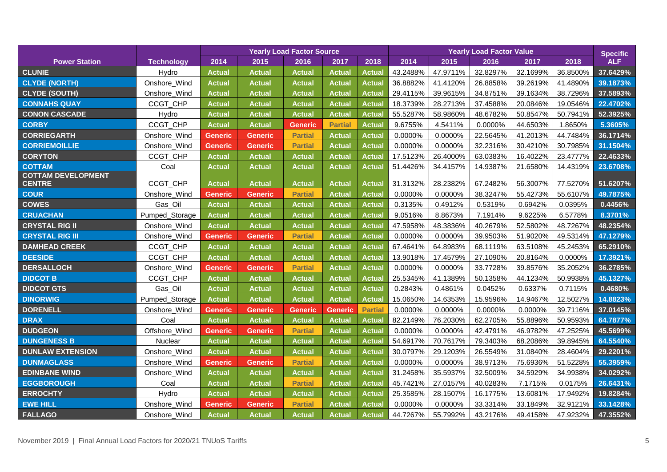|                                            |                   | <b>Yearly Load Factor Source</b> |                |                |                |                | <b>Yearly Load Factor Value</b> |          |          |          |          | <b>Specific</b> |
|--------------------------------------------|-------------------|----------------------------------|----------------|----------------|----------------|----------------|---------------------------------|----------|----------|----------|----------|-----------------|
| <b>Power Station</b>                       | <b>Technology</b> | 2014                             | 2015           | 2016           | 2017           | 2018           | 2014                            | 2015     | 2016     | 2017     | 2018     | <b>ALF</b>      |
| <b>CLUNIE</b>                              | Hydro             | <b>Actual</b>                    | <b>Actual</b>  | <b>Actual</b>  | <b>Actual</b>  | <b>Actual</b>  | 43.2488%                        | 47.9711% | 32.8297% | 32.1699% | 36.8500% | 37.6429%        |
| <b>CLYDE (NORTH)</b>                       | Onshore_Wind      | <b>Actual</b>                    | <b>Actual</b>  | <b>Actual</b>  | <b>Actual</b>  | <b>Actual</b>  | 36.8882%                        | 41.4120% | 26.8858% | 39.2619% | 41.4890% | 39.1873%        |
| <b>CLYDE (SOUTH)</b>                       | Onshore_Wind      | <b>Actual</b>                    | <b>Actual</b>  | Actual         | <b>Actual</b>  | <b>Actual</b>  | 29.4115%                        | 39.9615% | 34.8751% | 39.1634% | 38.7296% | 37.5893%        |
| <b>CONNAHS QUAY</b>                        | CCGT_CHP          | <b>Actual</b>                    | <b>Actual</b>  | <b>Actual</b>  | <b>Actua</b>   | Actual         | 18.3739%                        | 28.2713% | 37.4588% | 20.0846% | 19.0546% | 22.4702%        |
| <b>CONON CASCADE</b>                       | Hydro             | <b>Actual</b>                    | <b>Actual</b>  | <b>Actual</b>  | <b>Actual</b>  | Actual         | 55.5287%                        | 58.9860% | 48.6782% | 50.8547% | 50.7941% | 52.3925%        |
| <b>CORBY</b>                               | CCGT_CHP          | <b>Actual</b>                    | <b>Actual</b>  | <b>Generic</b> | <b>Partial</b> | Actual         | 9.6755%                         | 4.5411%  | 0.0000%  | 44.6503% | 1.8650%  | 5.3605%         |
| <b>CORRIEGARTH</b>                         | Onshore_Wind      | <b>Generic</b>                   | <b>Generic</b> | <b>Partial</b> | <b>Actua</b>   | <b>Actual</b>  | 0.0000%                         | 0.0000%  | 22.5645% | 41.2013% | 44.7484% | 36.1714%        |
| <b>CORRIEMOILLIE</b>                       | Onshore_Wind      | <b>Generic</b>                   | <b>Generic</b> | <b>Partial</b> | <b>Actual</b>  | <b>Actual</b>  | 0.0000%                         | 0.0000%  | 32.2316% | 30.4210% | 30.7985% | 31.1504%        |
| <b>CORYTON</b>                             | CCGT_CHP          | <b>Actual</b>                    | <b>Actual</b>  | Actual         | <b>Actual</b>  | <b>Actual</b>  | 17.5123%                        | 26.4000% | 63.0383% | 16.4022% | 23.4777% | 22.4633%        |
| <b>COTTAM</b>                              | Coal              | <b>Actual</b>                    | <b>Actual</b>  | <b>Actual</b>  | Actual         | <b>Actual</b>  | 51.4426%                        | 34.4157% | 14.9387% | 21.6580% | 14.4319% | 23.6708%        |
| <b>COTTAM DEVELOPMENT</b><br><b>CENTRE</b> | CCGT_CHP          | <b>Actual</b>                    | <b>Actual</b>  | <b>Actual</b>  | <b>Actual</b>  | <b>Actual</b>  | 31.3132%                        | 28.2382% | 67.2482% | 56.3007% | 77.5270% | 51.6207%        |
| <b>COUR</b>                                | Onshore_Wind      | <b>Generic</b>                   | <b>Generic</b> | <b>Partial</b> | <b>Actual</b>  | <b>Actual</b>  | 0.0000%                         | 0.0000%  | 38.3247% | 55.4273% | 55.6107% | 49.7875%        |
| <b>COWES</b>                               | Gas_Oil           | <b>Actual</b>                    | <b>Actual</b>  | <b>Actual</b>  | <b>Actual</b>  | Actual         | 0.3135%                         | 0.4912%  | 0.5319%  | 0.6942%  | 0.0395%  | 0.4456%         |
| <b>CRUACHAN</b>                            | Pumped_Storage    | <b>Actual</b>                    | <b>Actual</b>  | Actual         | <b>Actual</b>  | <b>Actual</b>  | 9.0516%                         | 8.8673%  | 7.1914%  | 9.6225%  | 6.5778%  | 8.3701%         |
| <b>CRYSTAL RIG II</b>                      | Onshore_Wind      | <b>Actual</b>                    | <b>Actual</b>  | <b>Actual</b>  | <b>Actual</b>  | <b>Actual</b>  | 47.5958%                        | 48.3836% | 40.2679% | 52.5802% | 48.7267% | 48.2354%        |
| <b>CRYSTAL RIG III</b>                     | Onshore Wind      | Generic                          | <b>Generic</b> | <b>Partial</b> | <b>Actual</b>  | Actual         | 0.0000%                         | 0.0000%  | 39.9503% | 51.9020% | 49.5314% | 47.1279%        |
| <b>DAMHEAD CREEK</b>                       | CCGT_CHP          | <b>Actual</b>                    | <b>Actual</b>  | Actual         | <b>Actual</b>  | <b>Actual</b>  | 67.4641%                        | 64.8983% | 68.1119% | 63.5108% | 45.2453% | 65.2910%        |
| <b>DEESIDE</b>                             | CCGT_CHP          | <b>Actual</b>                    | <b>Actual</b>  | <b>Actual</b>  | <b>Actual</b>  | Actual         | 13.9018%                        | 17.4579% | 27.1090% | 20.8164% | 0.0000%  | 17.3921%        |
| <b>DERSALLOCH</b>                          | Onshore_Wind      | <b>Generic</b>                   | <b>Generic</b> | <b>Partial</b> | <b>Actual</b>  | <b>Actual</b>  | 0.0000%                         | 0.0000%  | 33.7728% | 39.8576% | 35.2052% | 36.2785%        |
| <b>DIDCOT B</b>                            | CCGT_CHP          | <b>Actual</b>                    | <b>Actual</b>  | Actual         | <b>Actual</b>  | <b>Actual</b>  | 25.5345%                        | 41.1389% | 50.1358% | 44.1234% | 50.9938% | 45.1327%        |
| <b>DIDCOT GTS</b>                          | Gas_Oil           | <b>Actual</b>                    | <b>Actual</b>  | <b>Actual</b>  | <b>Actual</b>  | Actual         | 0.2843%                         | 0.4861%  | 0.0452%  | 0.6337%  | 0.7115%  | 0.4680%         |
| <b>DINORWIG</b>                            | Pumped_Storage    | <b>Actual</b>                    | <b>Actual</b>  | <b>Actual</b>  | <b>Actual</b>  | <b>Actual</b>  | 15.0650%                        | 14.6353% | 15.9596% | 14.9467% | 12.5027% | 14.8823%        |
| <b>DORENELL</b>                            | Onshore_Wind      | <b>Generic</b>                   | <b>Generic</b> | <b>Generic</b> | <b>Generic</b> | <b>Partial</b> | 0.0000%                         | 0.0000%  | 0.0000%  | 0.0000%  | 39.7116% | 37.0145%        |
| <b>DRAX</b>                                | Coal              | <b>Actual</b>                    | <b>Actual</b>  | <b>Actual</b>  | Actual         | <b>Actual</b>  | 82.2149%                        | 76.2030% | 62.2705% | 55.8896% | 50.9593% | 64.7877%        |
| <b>DUDGEON</b>                             | Offshore_Wind     | <b>Generic</b>                   | <b>Generic</b> | <b>Partial</b> | <b>Actual</b>  | <b>Actual</b>  | 0.0000%                         | 0.0000%  | 42.4791% | 46.9782% | 47.2525% | 45.5699%        |
| <b>DUNGENESS B</b>                         | Nuclear           | <b>Actual</b>                    | <b>Actual</b>  | <b>Actual</b>  | <b>Actua</b>   | Actual         | 54.6917%                        | 70.7617% | 79.3403% | 68.2086% | 39.8945% | 64.5540%        |
| <b>DUNLAW EXTENSION</b>                    | Onshore_Wind      | <b>Actual</b>                    | <b>Actual</b>  | <b>Actual</b>  | <b>Actual</b>  | Actual         | 30.0797%                        | 29.1203% | 26.5549% | 31.0840% | 28.4604% | 29.2201%        |
| <b>DUNMAGLASS</b>                          | Onshore_Wind      | <b>Generic</b>                   | <b>Generic</b> | <b>Partial</b> | <b>Actual</b>  | Actual         | 0.0000%                         | 0.0000%  | 38.9713% | 75.6936% | 51.5228% | 55.3959%        |
| <b>EDINBANE WIND</b>                       | Onshore_Wind      | <b>Actual</b>                    | <b>Actual</b>  | <b>Actual</b>  | <b>Actual</b>  | <b>Actual</b>  | 31.2458%                        | 35.5937% | 32.5009% | 34.5929% | 34.9938% | 34.0292%        |
| <b>EGGBOROUGH</b>                          | Coal              | <b>Actual</b>                    | <b>Actual</b>  | <b>Partial</b> | <b>Actual</b>  | Actual         | 45.7421%                        | 27.0157% | 40.0283% | 7.1715%  | 0.0175%  | 26.6431%        |
| <b>ERROCHTY</b>                            | Hydro             | <b>Actual</b>                    | <b>Actual</b>  | <b>Actual</b>  | Actual         | <b>Actual</b>  | 25.3585%                        | 28.1507% | 16.1775% | 13.6081% | 17.9492% | 19.8284%        |
| <b>EWE HILL</b>                            | Onshore_Wind      | <b>Generic</b>                   | <b>Generic</b> | <b>Partial</b> | <b>Actual</b>  | Actual         | 0.0000%                         | 0.0000%  | 33.3314% | 33.1849% | 32.9121% | 33.1428%        |
| <b>FALLAGO</b>                             | Onshore_Wind      | <b>Actual</b>                    | <b>Actual</b>  | <b>Actual</b>  | <b>Actual</b>  | <b>Actual</b>  | 44.7267%                        | 55.7992% | 43.2176% | 49.4158% | 47.9232% | 47.3552%        |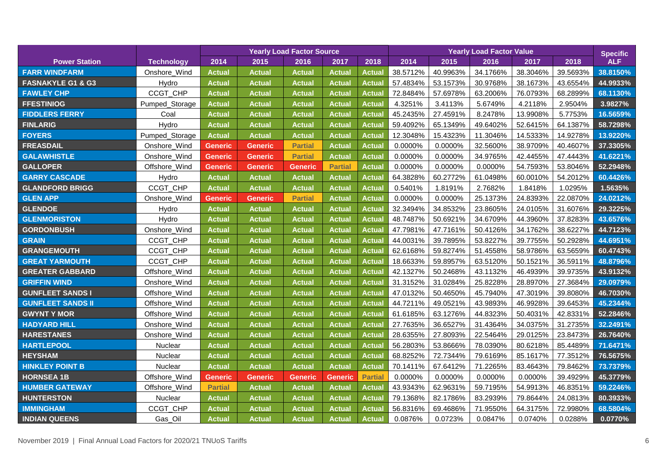|                              |                   | <b>Yearly Load Factor Source</b> |                |                |                | <b>Yearly Load Factor Value</b> |          |          |          |          | <b>Specific</b> |            |
|------------------------------|-------------------|----------------------------------|----------------|----------------|----------------|---------------------------------|----------|----------|----------|----------|-----------------|------------|
| <b>Power Station</b>         | <b>Technology</b> | 2014                             | 2015           | 2016           | 2017           | 2018                            | 2014     | 2015     | 2016     | 2017     | 2018            | <b>ALF</b> |
| <b>FARR WINDFARM</b>         | Onshore_Wind      | <b>Actual</b>                    | <b>Actual</b>  | <b>Actual</b>  | Actual         | Actual                          | 38.5712% | 40.9963% | 34.1766% | 38.3046% | 39.5693%        | 38.8150%   |
| <b>FASNAKYLE G1 &amp; G3</b> | Hydro             | <b>Actual</b>                    | <b>Actual</b>  | <b>Actual</b>  | <b>Actual</b>  | <b>Actual</b>                   | 57.4834% | 53.1573% | 30.9768% | 38.1673% | 43.6554%        | 44.9933%   |
| <b>FAWLEY CHP</b>            | CCGT_CHP          | <b>Actual</b>                    | <b>Actual</b>  | Actual         | <b>Actual</b>  | Actual                          | 72.8484% | 57.6978% | 63.2006% | 76.0793% | 68.2899%        | 68.1130%   |
| <b>FFESTINIOG</b>            | Pumped_Storage    | <b>Actual</b>                    | <b>Actual</b>  | <b>Actual</b>  | <b>Actual</b>  | Actual                          | 4.3251%  | 3.4113%  | 5.6749%  | 4.2118%  | 2.9504%         | 3.9827%    |
| <b>FIDDLERS FERRY</b>        | Coal              | <b>Actual</b>                    | <b>Actual</b>  | <b>Actual</b>  | <b>Actua</b>   | <b>Actual</b>                   | 45.2435% | 27.4591% | 8.2478%  | 13.9908% | 5.7753%         | 16.5659%   |
| <b>FINLARIG</b>              | Hydro             | <b>Actual</b>                    | <b>Actual</b>  | <b>Actual</b>  | <b>Actual</b>  | <b>Actual</b>                   | 59.4092% | 65.1349% | 49.6402% | 52.6415% | 64.1387%        | 58.7298%   |
| <b>FOYERS</b>                | Pumped_Storage    | <b>Actual</b>                    | <b>Actual</b>  | <b>Actual</b>  | Actual         | <b>Actual</b>                   | 12.3048% | 15.4323% | 11.3046% | 14.5333% | 14.9278%        | 13.9220%   |
| <b>FREASDAIL</b>             | Onshore_Wind      | <b>Generic</b>                   | <b>Generic</b> | <b>Partial</b> | Actual         | <b>Actual</b>                   | 0.0000%  | 0.0000%  | 32.5600% | 38.9709% | 40.4607%        | 37.3305%   |
| <b>GALAWHISTLE</b>           | Onshore Wind      | <b>Generic</b>                   | <b>Generic</b> | <b>Partial</b> | <b>Actual</b>  | <b>Actual</b>                   | 0.0000%  | 0.0000%  | 34.9765% | 42.4455% | 47.4443%        | 41.6221%   |
| <b>GALLOPER</b>              | Offshore_Wind     | Generic                          | <b>Generic</b> | Generic        | <b>Partial</b> | <b>Actual</b>                   | 0.0000%  | 0.0000%  | 0.0000%  | 54.7593% | 53.8046%        | 52.2948%   |
| <b>GARRY CASCADE</b>         | Hydro             | <b>Actual</b>                    | <b>Actual</b>  | <b>Actual</b>  | <b>Actual</b>  | <b>Actual</b>                   | 64.3828% | 60.2772% | 61.0498% | 60.0010% | 54.2012%        | 60.4426%   |
| <b>GLANDFORD BRIGG</b>       | CCGT_CHP          | <b>Actual</b>                    | <b>Actual</b>  | <b>Actual</b>  | <b>Actua</b>   | <b>Actual</b>                   | 0.5401%  | 1.8191%  | 2.7682%  | 1.8418%  | 1.0295%         | 1.5635%    |
| <b>GLEN APP</b>              | Onshore_Wind      | Generic                          | <b>Generic</b> | <b>Partial</b> | <b>Actual</b>  | <b>Actual</b>                   | 0.0000%  | 0.0000%  | 25.1373% | 24.8393% | 22.0870%        | 24.0212%   |
| <b>GLENDOE</b>               | Hydro             | <b>Actual</b>                    | <b>Actual</b>  | <b>Actual</b>  | <b>Actual</b>  | <b>Actual</b>                   | 32.3494% | 34.8532% | 23.8605% | 24.0105% | 31.6076%        | 29.3225%   |
| <b>GLENMORISTON</b>          | Hydro             | <b>Actual</b>                    | <b>Actual</b>  | <b>Actual</b>  | <b>Actual</b>  | <b>Actual</b>                   | 48.7487% | 50.6921% | 34.6709% | 44.3960% | 37.8283%        | 43.6576%   |
| <b>GORDONBUSH</b>            | Onshore_Wind      | <b>Actual</b>                    | <b>Actual</b>  | <b>Actual</b>  | <b>Actual</b>  | Actual                          | 47.7981% | 47.7161% | 50.4126% | 34.1762% | 38.6227%        | 44.7123%   |
| <b>GRAIN</b>                 | CCGT_CHP          | <b>Actual</b>                    | <b>Actual</b>  | Actual         | <b>Actual</b>  | <b>Actual</b>                   | 44.0031% | 39.7895% | 53.8227% | 39.7755% | 50.2928%        | 44.6951%   |
| <b>GRANGEMOUTH</b>           | CCGT_CHP          | <b>Actual</b>                    | <b>Actual</b>  | <b>Actual</b>  | <b>Actua</b>   | <b>Actual</b>                   | 62.6168% | 59.8274% | 51.4558% | 58.9786% | 63.5659%        | 60.4743%   |
| <b>GREAT YARMOUTH</b>        | CCGT_CHP          | <b>Actual</b>                    | <b>Actual</b>  | <b>Actual</b>  | <b>Actua</b>   | Actual                          | 18.6633% | 59.8957% | 63.5120% | 50.1521% | 36.5911%        | 48.8796%   |
| <b>GREATER GABBARD</b>       | Offshore_Wind     | <b>Actual</b>                    | <b>Actual</b>  | <b>Actual</b>  | Actual         | <b>Actual</b>                   | 42.1327% | 50.2468% | 43.1132% | 46.4939% | 39.9735%        | 43.9132%   |
| <b>GRIFFIN WIND</b>          | Onshore_Wind      | <b>Actual</b>                    | <b>Actual</b>  | <b>Actual</b>  | <b>Actual</b>  | <b>Actual</b>                   | 31.3152% | 31.0284% | 25.8228% | 28.8970% | 27.3684%        | 29.0979%   |
| <b>GUNFLEET SANDS I</b>      | Offshore_Wind     | <b>Actual</b>                    | <b>Actual</b>  | <b>Actual</b>  | <b>Actual</b>  | <b>Actual</b>                   | 47.0132% | 50.4650% | 45.7940% | 47.3019% | 39.8080%        | 46.7030%   |
| <b>GUNFLEET SANDS II</b>     | Offshore_Wind     | <b>Actual</b>                    | <b>Actual</b>  | Actual         | <b>Actual</b>  | <b>Actual</b>                   | 44.7211% | 49.0521% | 43.9893% | 46.9928% | 39.6453%        | 45.2344%   |
| <b>GWYNT Y MOR</b>           | Offshore_Wind     | <b>Actual</b>                    | <b>Actual</b>  | <b>Actual</b>  | <b>Actual</b>  | <b>Actual</b>                   | 61.6185% | 63.1276% | 44.8323% | 50.4031% | 42.8331%        | 52.2846%   |
| <b>HADYARD HILL</b>          | Onshore_Wind      | <b>Actual</b>                    | <b>Actual</b>  | <b>Actual</b>  | <b>Actua</b>   | <b>Actual</b>                   | 27.7635% | 36.6527% | 31.4364% | 34.0375% | 31.2735%        | 32.2491%   |
| <b>HARESTANES</b>            | Onshore_Wind      | <b>Actual</b>                    | <b>Actual</b>  | <b>Actual</b>  | <b>Actual</b>  | Actual                          | 28.6355% | 27.8093% | 22.5464% | 29.0125% | 23.8473%        | 26.7640%   |
| <b>HARTLEPOOL</b>            | <b>Nuclear</b>    | <b>Actual</b>                    | <b>Actual</b>  | <b>Actual</b>  | <b>Actual</b>  | <b>Actual</b>                   | 56.2803% | 53.8666% | 78.0390% | 80.6218% | 85.4489%        | 71.6471%   |
| <b>HEYSHAM</b>               | Nuclear           | <b>Actual</b>                    | <b>Actual</b>  | <b>Actual</b>  | <b>Actual</b>  | <b>Actual</b>                   | 68.8252% | 72.7344% | 79.6169% | 85.1617% | 77.3512%        | 76.5675%   |
| <b>HINKLEY POINT B</b>       | Nuclear           | <b>Actual</b>                    | <b>Actual</b>  | <b>Actual</b>  | <b>Actual</b>  | Actual                          | 70.1411% | 67.6412% | 71.2265% | 83.4643% | 79.8462%        | 73.7379%   |
| <b>HORNSEA 1B</b>            | Offshore_Wind     | <b>Generic</b>                   | <b>Generic</b> | Generic        | Generic        | <b>Partial</b>                  | 0.0000%  | 0.0000%  | 0.0000%  | 0.0000%  | 39.4929%        | 45.3779%   |
| <b>HUMBER GATEWAY</b>        | Offshore_Wind     | <b>Partial</b>                   | <b>Actual</b>  | <b>Actual</b>  | <b>Actual</b>  | Actual                          | 43.9343% | 62.9631% | 59.7195% | 54.9913% | 46.8351%        | 59.2246%   |
| <b>HUNTERSTON</b>            | <b>Nuclear</b>    | <b>Actual</b>                    | <b>Actual</b>  | <b>Actual</b>  | <b>Actual</b>  | Actual                          | 79.1368% | 82.1786% | 83.2939% | 79.8644% | 24.0813%        | 80.3933%   |
| <b>IMMINGHAM</b>             | CCGT_CHP          | <b>Actual</b>                    | <b>Actual</b>  | <b>Actual</b>  | <b>Actual</b>  | <b>Actual</b>                   | 56.8316% | 69.4686% | 71.9550% | 64.3175% | 72.9980%        | 68.5804%   |
| <b>INDIAN QUEENS</b>         | Gas_Oil           | <b>Actual</b>                    | <b>Actual</b>  | <b>Actual</b>  | <b>Actual</b>  | <b>Actual</b>                   | 0.0876%  | 0.0723%  | 0.0847%  | 0.0740%  | 0.0288%         | 0.0770%    |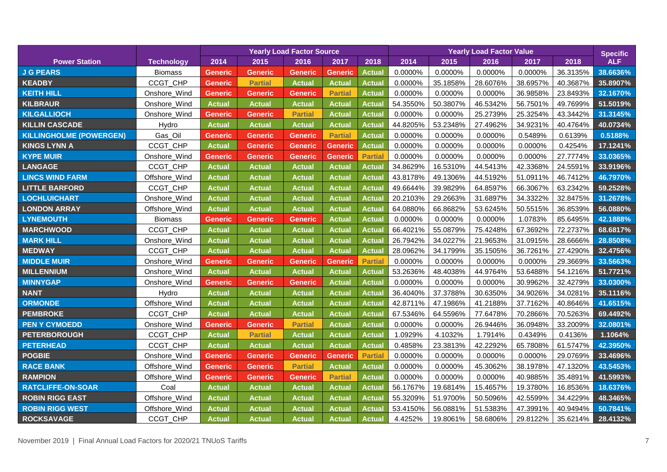|                                |                   | <b>Yearly Load Factor Source</b> |                |                |                | <b>Yearly Load Factor Value</b> |          |          |          |          | <b>Specific</b> |            |
|--------------------------------|-------------------|----------------------------------|----------------|----------------|----------------|---------------------------------|----------|----------|----------|----------|-----------------|------------|
| <b>Power Station</b>           | <b>Technology</b> | 2014                             | 2015           | 2016           | 2017           | 2018                            | 2014     | 2015     | 2016     | 2017     | 2018            | <b>ALF</b> |
| <b>J G PEARS</b>               | <b>Biomass</b>    | Generic                          | <b>Generic</b> | <b>Generic</b> | <b>Generic</b> | <b>Actual</b>                   | 0.0000%  | 0.0000%  | 0.0000%  | 0.0000%  | 36.3135%        | 38.6636%   |
| <b>KEADBY</b>                  | CCGT_CHP          | Generic                          | <b>Partial</b> | <b>Actual</b>  | <b>Actual</b>  | <b>Actual</b>                   | 0.0000%  | 35.1858% | 28.6076% | 38.6957% | 40.3687%        | 35.8907%   |
| <b>KEITH HILL</b>              | Onshore_Wind      | <b>Generic</b>                   | <b>Generic</b> | <b>Generic</b> | <b>Partial</b> | Actual                          | 0.0000%  | 0.0000%  | 0.0000%  | 36.9858% | 23.8493%        | 32.1670%   |
| <b>KILBRAUR</b>                | Onshore_Wind      | <b>Actual</b>                    | <b>Actual</b>  | <b>Actual</b>  | <b>Actual</b>  | <b>Actual</b>                   | 54.3550% | 50.3807% | 46.5342% | 56.7501% | 49.7699%        | 51.5019%   |
| <b>KILGALLIOCH</b>             | Onshore_Wind      | Generic                          | <b>Generic</b> | <b>Partial</b> | <b>Actual</b>  | Actual                          | 0.0000%  | 0.0000%  | 25.2739% | 25.3254% | 43.3442%        | 31.3145%   |
| <b>KILLIN CASCADE</b>          | Hydro             | <b>Actual</b>                    | <b>Actual</b>  | <b>Actual</b>  | <b>Actual</b>  | Actual                          | 44.8205% | 53.2348% | 27.4962% | 34.9231% | 40.4764%        | 40.0734%   |
| <b>KILLINGHOLME (POWERGEN)</b> | Gas_Oil           | <b>Generic</b>                   | <b>Generic</b> | <b>Generic</b> | <b>Partial</b> | <b>Actual</b>                   | 0.0000%  | 0.0000%  | 0.0000%  | 0.5489%  | 0.6139%         | 0.5188%    |
| <b>KINGS LYNN A</b>            | CCGT_CHP          | <b>Actual</b>                    | <b>Generic</b> | <b>Generic</b> | <b>Generic</b> | <b>Actual</b>                   | 0.0000%  | 0.0000%  | 0.0000%  | 0.0000%  | 0.4254%         | 17.1241%   |
| <b>KYPE MUIR</b>               | Onshore_Wind      | Generic                          | <b>Generic</b> | <b>Generic</b> | <b>Generic</b> | <b>Partial</b>                  | 0.0000%  | 0.0000%  | 0.0000%  | 0.0000%  | 27.7774%        | 33.0365%   |
| <b>LANGAGE</b>                 | CCGT_CHP          | <b>Actual</b>                    | <b>Actual</b>  | <b>Actual</b>  | <b>Actual</b>  | Actual                          | 34.8629% | 16.5310% | 44.5413% | 42.3368% | 24.5591%        | 33.9196%   |
| <b>LINCS WIND FARM</b>         | Offshore_Wind     | <b>Actual</b>                    | <b>Actual</b>  | <b>Actual</b>  | <b>Actual</b>  | Actual                          | 43.8178% | 49.1306% | 44.5192% | 51.0911% | 46.7412%        | 46.7970%   |
| <b>LITTLE BARFORD</b>          | CCGT_CHP          | <b>Actual</b>                    | <b>Actual</b>  | <b>Actual</b>  | <b>Actua</b>   | <b>Actual</b>                   | 49.6644% | 39.9829% | 64.8597% | 66.3067% | 63.2342%        | 59.2528%   |
| <b>LOCHLUICHART</b>            | Onshore_Wind      | <b>Actual</b>                    | <b>Actual</b>  | Actual         | <b>Actual</b>  | <b>Actual</b>                   | 20.2103% | 29.2663% | 31.6897% | 34.3322% | 32.8475%        | 31.2678%   |
| <b>LONDON ARRAY</b>            | Offshore_Wind     | <b>Actual</b>                    | <b>Actual</b>  | <b>Actual</b>  | <b>Actual</b>  | <b>Actual</b>                   | 64.0880% | 66.8682% | 53.6245% | 50.5515% | 36.8539%        | 56.0880%   |
| <b>LYNEMOUTH</b>               | Biomass           | Generic                          | <b>Generic</b> | <b>Generic</b> | <b>Actual</b>  | <b>Actual</b>                   | 0.0000%  | 0.0000%  | 0.0000%  | 1.0783%  | 85.6495%        | 42.1888%   |
| <b>MARCHWOOD</b>               | CCGT_CHP          | <b>Actual</b>                    | <b>Actual</b>  | <b>Actual</b>  | <b>Actual</b>  | <b>Actual</b>                   | 66.4021% | 55.0879% | 75.4248% | 67.3692% | 72.2737%        | 68.6817%   |
| <b>MARK HILL</b>               | Onshore_Wind      | <b>Actual</b>                    | <b>Actual</b>  | <b>Actual</b>  | <b>Actual</b>  | <b>Actual</b>                   | 26.7942% | 34.0227% | 21.9653% | 31.0915% | 28.6666%        | 28.8508%   |
| <b>MEDWAY</b>                  | CCGT_CHP          | <b>Actual</b>                    | <b>Actual</b>  | <b>Actual</b>  | <b>Actual</b>  | Actual                          | 28.0962% | 34.1799% | 35.1505% | 36.7261% | 27.4290%        | 32.4756%   |
| <b>MIDDLE MUIR</b>             | Onshore_Wind      | Generic                          | <b>Generic</b> | <b>Generic</b> | <b>Generic</b> | <b>Partial</b>                  | 0.0000%  | 0.0000%  | 0.0000%  | 0.0000%  | 29.3669%        | 33.5663%   |
| <b>MILLENNIUM</b>              | Onshore_Wind      | <b>Actual</b>                    | <b>Actual</b>  | <b>Actual</b>  | <b>Actual</b>  | <b>Actual</b>                   | 53.2636% | 48.4038% | 44.9764% | 53.6488% | 54.1216%        | 51.7721%   |
| <b>MINNYGAP</b>                | Onshore_Wind      | Generic                          | <b>Generic</b> | <b>Generic</b> | <b>Actual</b>  | <b>Actual</b>                   | 0.0000%  | 0.0000%  | 0.0000%  | 30.9962% | 32.4279%        | 33.0300%   |
| <b>NANT</b>                    | Hydro             | <b>Actual</b>                    | <b>Actual</b>  | <b>Actual</b>  | <b>Actual</b>  | <b>Actual</b>                   | 36.4040% | 37.3788% | 30.6350% | 34.9026% | 34.0281%        | 35.1116%   |
| <b>ORMONDE</b>                 | Offshore_Wind     | <b>Actual</b>                    | <b>Actual</b>  | <b>Actual</b>  | <b>Actual</b>  | <b>Actual</b>                   | 42.8711% | 47.1986% | 41.2188% | 37.7162% | 40.8646%        | 41.6515%   |
| <b>PEMBROKE</b>                | CCGT_CHP          | <b>Actual</b>                    | <b>Actual</b>  | <b>Actual</b>  | <b>Actual</b>  | <b>Actual</b>                   | 67.5346% | 64.5596% | 77.6478% | 70.2866% | 70.5263%        | 69.4492%   |
| <b>PEN Y CYMOEDD</b>           | Onshore_Wind      | Generic                          | <b>Generic</b> | <b>Partial</b> | <b>Actual</b>  | Actual                          | 0.0000%  | 0.0000%  | 26.9446% | 36.0948% | 33.2009%        | 32.0801%   |
| <b>PETERBOROUGH</b>            | CCGT_CHP          | <b>Actual</b>                    | <b>Partial</b> | <b>Actual</b>  | <b>Actual</b>  | <b>Actual</b>                   | 1.0929%  | 4.1032%  | 1.7914%  | 0.4349%  | 0.4136%         | 1.1064%    |
| <b>PETERHEAD</b>               | CCGT_CHP          | <b>Actual</b>                    | <b>Actual</b>  | <b>Actual</b>  | <b>Actual</b>  | <b>Actual</b>                   | 0.4858%  | 23.3813% | 42.2292% | 65.7808% | 61.5747%        | 42.3950%   |
| <b>POGBIE</b>                  | Onshore_Wind      | <b>Generic</b>                   | <b>Generic</b> | <b>Generic</b> | <b>Generic</b> | <b>Partial</b>                  | 0.0000%  | 0.0000%  | 0.0000%  | 0.0000%  | 29.0769%        | 33.4696%   |
| <b>RACE BANK</b>               | Offshore_Wind     | <b>Generic</b>                   | <b>Generic</b> | <b>Partial</b> | <b>Actual</b>  | <b>Actual</b>                   | 0.0000%  | 0.0000%  | 45.3062% | 38.1978% | 47.1320%        | 43.5453%   |
| <b>RAMPION</b>                 | Offshore_Wind     | Generic                          | <b>Generic</b> | Generic        | <b>Partial</b> | Actual                          | 0.0000%  | 0.0000%  | 0.0000%  | 40.9885% | 35.4891%        | 41.5993%   |
| <b>RATCLIFFE-ON-SOAR</b>       | Coal              | <b>Actual</b>                    | <b>Actual</b>  | <b>Actual</b>  | <b>Actua</b>   | <b>Actual</b>                   | 56.1767% | 19.6814% | 15.4657% | 19.3780% | 16.8536%        | 18.6376%   |
| <b>ROBIN RIGG EAST</b>         | Offshore Wind     | <b>Actual</b>                    | <b>Actual</b>  | <b>Actual</b>  | <b>Actual</b>  | <b>Actual</b>                   | 55.3209% | 51.9700% | 50.5096% | 42.5599% | 34.4229%        | 48.3465%   |
| <b>ROBIN RIGG WEST</b>         | Offshore_Wind     | <b>Actual</b>                    | <b>Actual</b>  | <b>Actual</b>  | Actual         | <b>Actual</b>                   | 53.4150% | 56.0881% | 51.5383% | 47.3991% | 40.9494%        | 50.7841%   |
| <b>ROCKSAVAGE</b>              | CCGT CHP          | <b>Actual</b>                    | <b>Actual</b>  | <b>Actual</b>  | <b>Actual</b>  | <b>Actual</b>                   | 4.4252%  | 19.8061% | 58.6806% | 29.8122% | 35.6214%        | 28.4132%   |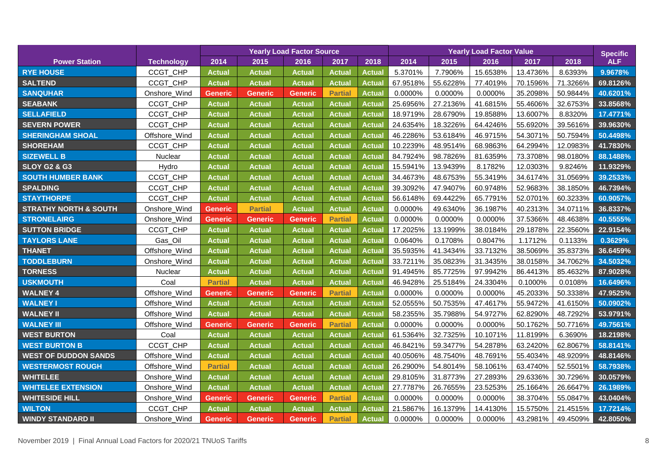|                                  |                   | <b>Yearly Load Factor Source</b> |                |                |                |               | <b>Yearly Load Factor Value</b> |          |          |          |          | <b>Specific</b> |
|----------------------------------|-------------------|----------------------------------|----------------|----------------|----------------|---------------|---------------------------------|----------|----------|----------|----------|-----------------|
| <b>Power Station</b>             | <b>Technology</b> | 2014                             | 2015           | 2016           | 2017           | 2018          | 2014                            | 2015     | 2016     | 2017     | 2018     | <b>ALF</b>      |
| <b>RYE HOUSE</b>                 | CCGT_CHP          | <b>Actual</b>                    | <b>Actual</b>  | <b>Actual</b>  | Actual         | <b>Actual</b> | 5.3701%                         | 7.7906%  | 15.6538% | 13.4736% | 8.6393%  | 9.9678%         |
| <b>SALTEND</b>                   | CCGT_CHP          | <b>Actual</b>                    | <b>Actual</b>  | <b>Actual</b>  | <b>Actua</b>   | Actual        | 67.9518%                        | 55.6228% | 77.4019% | 70.1596% | 71.3266% | 69.8126%        |
| <b>SANQUHAR</b>                  | Onshore_Wind      | <b>Generic</b>                   | <b>Generic</b> | <b>Generic</b> | <b>Partial</b> | <b>Actual</b> | 0.0000%                         | 0.0000%  | 0.0000%  | 35.2098% | 50.9844% | 40.6201%        |
| <b>SEABANK</b>                   | CCGT_CHP          | <b>Actual</b>                    | <b>Actual</b>  | <b>Actual</b>  | Actual         | <b>Actual</b> | 25.6956%                        | 27.2136% | 41.6815% | 55.4606% | 32.6753% | 33.8568%        |
| <b>SELLAFIELD</b>                | CCGT_CHP          | <b>Actual</b>                    | <b>Actual</b>  | <b>Actual</b>  | Actual         | <b>Actual</b> | 18.9719%                        | 28.6790% | 19.8588% | 13.6007% | 8.8320%  | 17.4771%        |
| <b>SEVERN POWER</b>              | CCGT_CHP          | <b>Actual</b>                    | <b>Actual</b>  | <b>Actual</b>  | Actual         | Actual        | 24.6354%                        | 18.3226% | 64.4246% | 55.6920% | 39.5616% | 39.9630%        |
| <b>SHERINGHAM SHOAL</b>          | Offshore_Wind     | <b>Actual</b>                    | <b>Actual</b>  | <b>Actual</b>  | Actual         | <b>Actual</b> | 46.2286%                        | 53.6184% | 46.9715% | 54.3071% | 50.7594% | 50.4498%        |
| <b>SHOREHAM</b>                  | CCGT_CHP          | <b>Actual</b>                    | <b>Actual</b>  | <b>Actual</b>  | Actual         | <b>Actual</b> | 10.2239%                        | 48.9514% | 68.9863% | 64.2994% | 12.0983% | 41.7830%        |
| <b>SIZEWELL B</b>                | Nuclear           | <b>Actual</b>                    | <b>Actual</b>  | <b>Actual</b>  | Actual         | <b>Actual</b> | 84.7924%                        | 98.7826% | 81.6359% | 73.3708% | 98.0180% | 88.1488%        |
| <b>SLOY G2 &amp; G3</b>          | Hydro             | <b>Actual</b>                    | <b>Actual</b>  | <b>Actual</b>  | <b>Actual</b>  | <b>Actual</b> | 15.5941%                        | 13.9439% | 8.1782%  | 12.0303% | 9.8246%  | 11.9329%        |
| <b>SOUTH HUMBER BANK</b>         | CCGT_CHP          | <b>Actual</b>                    | <b>Actual</b>  | <b>Actual</b>  | Actual         | <b>Actual</b> | 34.4673%                        | 48.6753% | 55.3419% | 34.6174% | 31.0569% | 39.2533%        |
| <b>SPALDING</b>                  | CCGT_CHP          | <b>Actual</b>                    | <b>Actual</b>  | <b>Actual</b>  | Actual         | <b>Actual</b> | 39.3092%                        | 47.9407% | 60.9748% | 52.9683% | 38.1850% | 46.7394%        |
| <b>STAYTHORPE</b>                | CCGT_CHP          | <b>Actual</b>                    | <b>Actual</b>  | <b>Actual</b>  | Actual         | <b>Actual</b> | 56.6148%                        | 69.4422% | 65.7791% | 52.0701% | 60.3233% | 60.9057%        |
| <b>STRATHY NORTH &amp; SOUTH</b> | Onshore_Wind      | <b>Generic</b>                   | <b>Partial</b> | <b>Actual</b>  | <b>Actua</b>   | <b>Actual</b> | 0.0000%                         | 49.6340% | 36.1987% | 40.2313% | 34.0711% | 36.8337%        |
| <b>STRONELAIRG</b>               | Onshore_Wind      | <b>Generic</b>                   | <b>Generic</b> | Generic        | <b>Partial</b> | <b>Actual</b> | 0.0000%                         | 0.0000%  | 0.0000%  | 37.5366% | 48.4638% | 40.5555%        |
| <b>SUTTON BRIDGE</b>             | CCGT_CHP          | <b>Actual</b>                    | <b>Actual</b>  | <b>Actual</b>  | Actual         | <b>Actual</b> | 17.2025%                        | 13.1999% | 38.0184% | 29.1878% | 22.3560% | 22.9154%        |
| <b>TAYLORS LANE</b>              | Gas_Oil           | <b>Actual</b>                    | <b>Actual</b>  | <b>Actual</b>  | Actual         | <b>Actual</b> | 0.0640%                         | 0.1708%  | 0.8047%  | 1.1712%  | 0.1133%  | 0.3629%         |
| <b>THANET</b>                    | Offshore_Wind     | <b>Actual</b>                    | <b>Actual</b>  | <b>Actual</b>  | Actual         | <b>Actual</b> | 35.5935%                        | 41.3434% | 33.7132% | 38.5069% | 35.8373% | 36.6459%        |
| <b>TODDLEBURN</b>                | Onshore_Wind      | <b>Actual</b>                    | <b>Actual</b>  | <b>Actual</b>  | Actual         | <b>Actual</b> | 33.7211%                        | 35.0823% | 31.3435% | 38.0158% | 34.7062% | 34.5032%        |
| <b>TORNESS</b>                   | Nuclear           | <b>Actual</b>                    | <b>Actual</b>  | <b>Actual</b>  | Actual         | <b>Actual</b> | 91.4945%                        | 85.7725% | 97.9942% | 86.4413% | 85.4632% | 87.9028%        |
| <b>USKMOUTH</b>                  | Coal              | <b>Partial</b>                   | <b>Actual</b>  | <b>Actual</b>  | Actual         | <b>Actual</b> | 46.9428%                        | 25.5184% | 24.3304% | 0.1000%  | 0.0108%  | 16.6496%        |
| <b>WALNEY 4</b>                  | Offshore_Wind     | <b>Generic</b>                   | <b>Generic</b> | Generic        | <b>Partial</b> | <b>Actual</b> | 0.0000%                         | 0.0000%  | 0.0000%  | 45.2033% | 50.3338% | 47.9525%        |
| <b>WALNEY I</b>                  | Offshore_Wind     | <b>Actual</b>                    | <b>Actual</b>  | <b>Actual</b>  | Actual         | <b>Actual</b> | 52.0555%                        | 50.7535% | 47.4617% | 55.9472% | 41.6150% | 50.0902%        |
| <b>WALNEY II</b>                 | Offshore_Wind     | <b>Actual</b>                    | <b>Actual</b>  | <b>Actual</b>  | Actual         | <b>Actual</b> | 58.2355%                        | 35.7988% | 54.9727% | 62.8290% | 48.7292% | 53.9791%        |
| <b>WALNEY III</b>                | Offshore Wind     | Generic                          | <b>Generic</b> | <b>Generic</b> | <b>Partial</b> | <b>Actual</b> | 0.0000%                         | 0.0000%  | 0.0000%  | 50.1762% | 50.7716% | 49.7561%        |
| <b>WEST BURTON</b>               | Coal              | <b>Actual</b>                    | <b>Actual</b>  | <b>Actual</b>  | Actual         | <b>Actual</b> | 61.5364%                        | 32.7325% | 10.1071% | 11.8199% | 6.3690%  | 18.2198%        |
| <b>WEST BURTON B</b>             | CCGT_CHP          | <b>Actual</b>                    | <b>Actual</b>  | <b>Actual</b>  | Actual         | Actual        | 46.8421%                        | 59.3477% | 54.2878% | 63.2420% | 62.8067% | 58.8141%        |
| <b>WEST OF DUDDON SANDS</b>      | Offshore_Wind     | <b>Actual</b>                    | <b>Actual</b>  | <b>Actual</b>  | Actual         | <b>Actual</b> | 40.0506%                        | 48.7540% | 48.7691% | 55.4034% | 48.9209% | 48.8146%        |
| <b>WESTERMOST ROUGH</b>          | Offshore_Wind     | <b>Partial</b>                   | <b>Actual</b>  | <b>Actual</b>  | <b>Actual</b>  | <b>Actual</b> | 26.2900%                        | 54.8014% | 58.1061% | 63.4740% | 52.5501% | 58.7938%        |
| <b>WHITELEE</b>                  | Onshore_Wind      | <b>Actual</b>                    | <b>Actual</b>  | <b>Actual</b>  | Actual         | <b>Actual</b> | 29.8105%                        | 31.8773% | 27.2893% | 29.6336% | 30.7296% | 30.0579%        |
| <b>WHITELEE EXTENSION</b>        | Onshore_Wind      | <b>Actual</b>                    | <b>Actual</b>  | <b>Actual</b>  | Actual         | <b>Actual</b> | 27.7787%                        | 26.7655% | 23.5253% | 25.1664% | 26.6647% | 26.1989%        |
| <b>WHITESIDE HILL</b>            | Onshore_Wind      | <b>Generic</b>                   | <b>Generic</b> | <b>Generic</b> | <b>Partial</b> | <b>Actual</b> | 0.0000%                         | 0.0000%  | 0.0000%  | 38.3704% | 55.0847% | 43.0404%        |
| <b>WILTON</b>                    | CCGT_CHP          | <b>Actual</b>                    | <b>Actual</b>  | <b>Actual</b>  | Actual         | <b>Actual</b> | 21.5867%                        | 16.1379% | 14.4130% | 15.5750% | 21.4515% | 17.7214%        |
| <b>WINDY STANDARD II</b>         | Onshore Wind      | <b>Generic</b>                   | <b>Generic</b> | <b>Generic</b> | <b>Partial</b> | <b>Actual</b> | 0.0000%                         | 0.0000%  | 0.0000%  | 43.2981% | 49.4509% | 42.8050%        |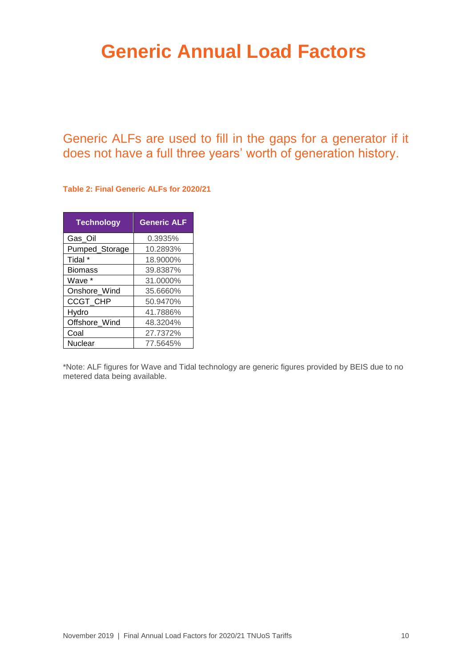## <span id="page-10-0"></span>**Generic Annual Load Factors**

Generic ALFs are used to fill in the gaps for a generator if it does not have a full three years' worth of generation history.

**Table 2: Final Generic ALFs for 2020/21**

| <b>Technology</b> | <b>Generic ALF</b> |
|-------------------|--------------------|
| Gas_Oil           | 0.3935%            |
| Pumped_Storage    | 10.2893%           |
| Tidal *           | 18.9000%           |
| <b>Biomass</b>    | 39.8387%           |
| Wave *            | 31.0000%           |
| Onshore_Wind      | 35.6660%           |
| <b>CCGT CHP</b>   | 50.9470%           |
| Hydro             | 41.7886%           |
| Offshore_Wind     | 48.3204%           |
| Coal              | 27.7372%           |
| Nuclear           | 77.5645%           |

\*Note: ALF figures for Wave and Tidal technology are generic figures provided by BEIS due to no metered data being available.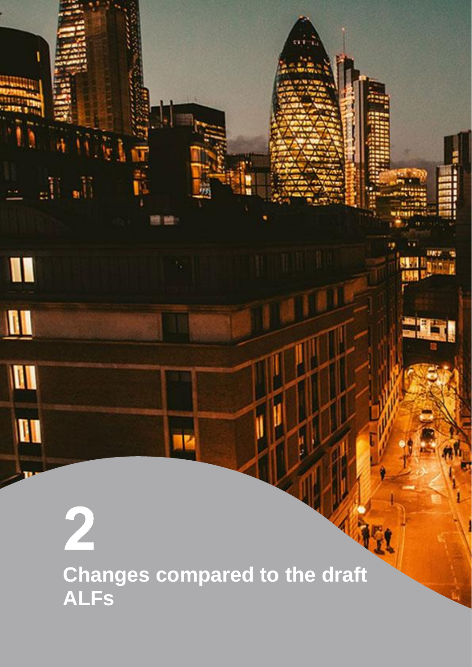<span id="page-11-0"></span>2 **Changes compared to the draft ALFs**

 $\mathbb{H}$  all

W

 $\blacksquare$ 

 $\mathbf{u}$ 

**AI**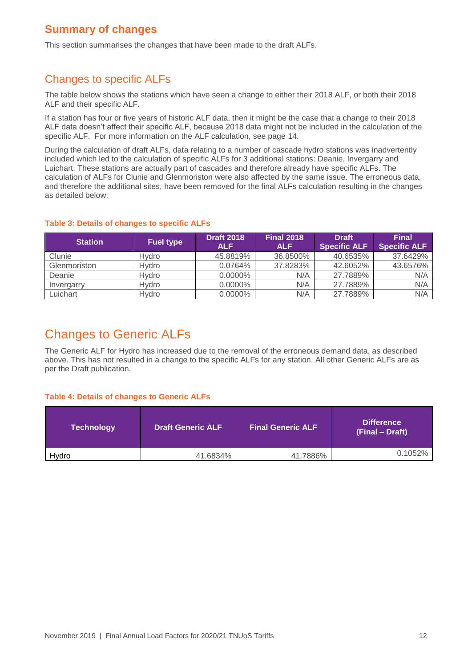### **Summary of changes**

This section summarises the changes that have been made to the draft ALFs.

### Changes to specific ALFs

The table below shows the stations which have seen a change to either their 2018 ALF, or both their 2018 ALF and their specific ALF.

If a station has four or five years of historic ALF data, then it might be the case that a change to their 2018 ALF data doesn't affect their specific ALF, because 2018 data might not be included in the calculation of the specific ALF. For more information on the ALF calculation, see page [14.](#page-14-0)

During the calculation of draft ALFs, data relating to a number of cascade hydro stations was inadvertently included which led to the calculation of specific ALFs for 3 additional stations: Deanie, Invergarry and Luichart. These stations are actually part of cascades and therefore already have specific ALFs. The calculation of ALFs for Clunie and Glenmoriston were also affected by the same issue. The erroneous data, and therefore the additional sites, have been removed for the final ALFs calculation resulting in the changes as detailed below:

### **Table 3: Details of changes to specific ALFs**

| <b>Station</b> | <b>Fuel type</b> | <b>Draft 2018</b><br><b>ALF</b> | <b>Final 2018</b><br><b>ALF</b> | <b>Draft</b><br><b>Specific ALF</b> | <b>Final</b><br><b>Specific ALF</b> |
|----------------|------------------|---------------------------------|---------------------------------|-------------------------------------|-------------------------------------|
| Clunie         | <b>Hvdro</b>     | 45.8819%                        | 36.8500%                        | 40.6535%                            | 37.6429%                            |
| Glenmoriston   | Hvdro            | 0.0764%                         | 37.8283%                        | 42.6052%                            | 43.6576%                            |
| Deanie         | Hvdro            | $0.0000\%$                      | N/A                             | 27.7889%                            | N/A                                 |
| Invergarry     | <b>Hvdro</b>     | $0.0000\%$                      | N/A                             | 27.7889%                            | N/A                                 |
| Luichart       | Hvdro            | $0.0000\%$                      | N/A                             | 27.7889%                            | N/A                                 |

## Changes to Generic ALFs

The Generic ALF for Hydro has increased due to the removal of the erroneous demand data, as described above. This has not resulted in a change to the specific ALFs for any station. All other Generic ALFs are as per the Draft publication.

### **Table 4: Details of changes to Generic ALFs**

| <b>Technology</b> | <b>Draft Generic ALF</b> | <b>Final Generic ALF</b> | <b>Difference</b><br>(Final – Draft) |
|-------------------|--------------------------|--------------------------|--------------------------------------|
| Hydro             | 41.6834%                 | 41.7886%                 | 0.1052%                              |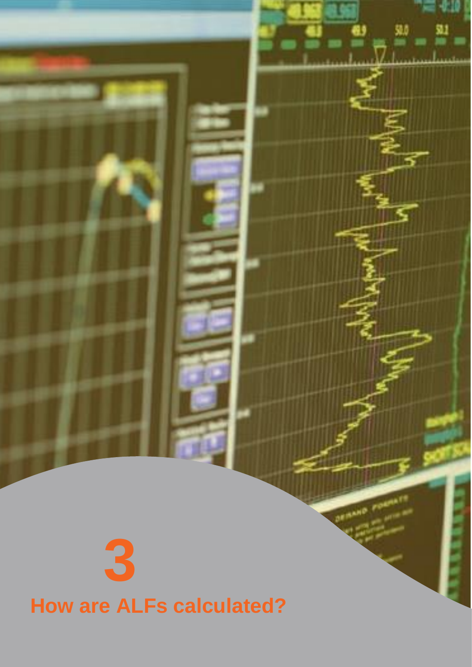# <span id="page-13-0"></span>**3 How are ALFs calculated?**

**DEMAND**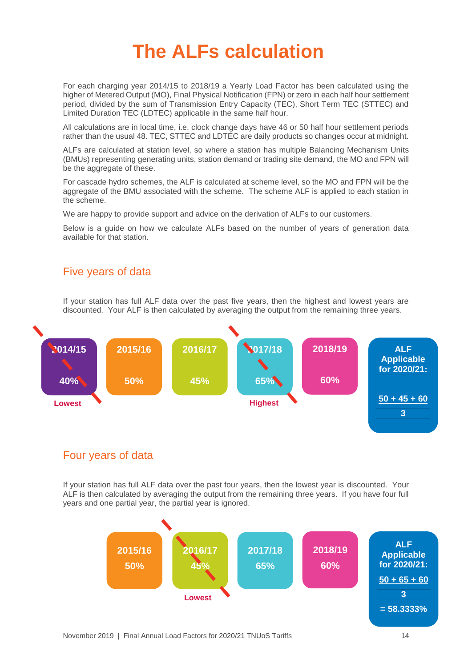## <span id="page-14-0"></span>**The ALFs calculation**

For each charging year 2014/15 to 2018/19 a Yearly Load Factor has been calculated using the higher of Metered Output (MO), Final Physical Notification (FPN) or zero in each half hour settlement period, divided by the sum of Transmission Entry Capacity (TEC), Short Term TEC (STTEC) and Limited Duration TEC (LDTEC) applicable in the same half hour.

All calculations are in local time, i.e. clock change days have 46 or 50 half hour settlement periods rather than the usual 48. TEC, STTEC and LDTEC are daily products so changes occur at midnight.

ALFs are calculated at station level, so where a station has multiple Balancing Mechanism Units (BMUs) representing generating units, station demand or trading site demand, the MO and FPN will be the aggregate of these.

For cascade hydro schemes, the ALF is calculated at scheme level, so the MO and FPN will be the aggregate of the BMU associated with the scheme. The scheme ALF is applied to each station in the scheme.

We are happy to provide support and advice on the derivation of ALFs to our customers.

Below is a guide on how we calculate ALFs based on the number of years of generation data available for that station.

### Five years of data

If your station has full ALF data over the past five years, then the highest and lowest years are discounted. Your ALF is then calculated by averaging the output from the remaining three years.



### Four years of data

If your station has full ALF data over the past four years, then the lowest year is discounted. Your ALF is then calculated by averaging the output from the remaining three years. If you have four full years and one partial year, the partial year is ignored.

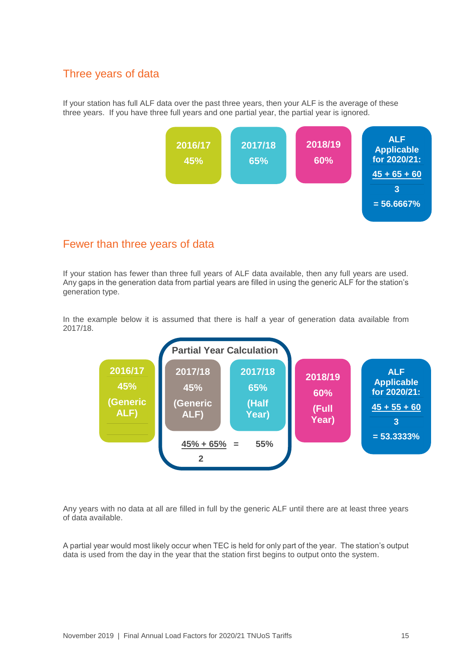### Three years of data

If your station has full ALF data over the past three years, then your ALF is the average of these three years. If you have three full years and one partial year, the partial year is ignored.



### Fewer than three years of data

If your station has fewer than three full years of ALF data available, then any full years are used. Any gaps in the generation data from partial years are filled in using the generic ALF for the station's generation type.

In the example below it is assumed that there is half a year of generation data available from 2017/18.



Any years with no data at all are filled in full by the generic ALF until there are at least three years of data available.

A partial year would most likely occur when TEC is held for only part of the year. The station's output data is used from the day in the year that the station first begins to output onto the system.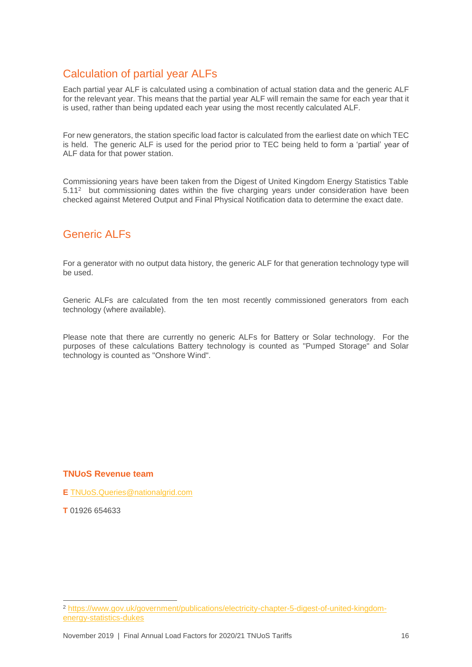### Calculation of partial year ALFs

Each partial year ALF is calculated using a combination of actual station data and the generic ALF for the relevant year. This means that the partial year ALF will remain the same for each year that it is used, rather than being updated each year using the most recently calculated ALF.

For new generators, the station specific load factor is calculated from the earliest date on which TEC is held. The generic ALF is used for the period prior to TEC being held to form a 'partial' year of ALF data for that power station.

Commissioning years have been taken from the Digest of United Kingdom Energy Statistics Table 5.11<sup>2</sup> but commissioning dates within the five charging years under consideration have been checked against Metered Output and Final Physical Notification data to determine the exact date.

### Generic ALFs

For a generator with no output data history, the generic ALF for that generation technology type will be used.

Generic ALFs are calculated from the ten most recently commissioned generators from each technology (where available).

Please note that there are currently no generic ALFs for Battery or Solar technology. For the purposes of these calculations Battery technology is counted as "Pumped Storage" and Solar technology is counted as "Onshore Wind".

### **TNUoS Revenue team**

**E** [TNUoS.Queries@nationalgrid.com](mailto:TNUoS.Queries@nationalgrid.com)

**T** 01926 654633

 $\overline{a}$ <sup>2</sup> [https://www.gov.uk/government/publications/electricity-chapter-5-digest-of-united-kingdom](https://www.gov.uk/government/publications/electricity-chapter-5-digest-of-united-kingdom-energy-statistics-dukes)[energy-statistics-dukes](https://www.gov.uk/government/publications/electricity-chapter-5-digest-of-united-kingdom-energy-statistics-dukes)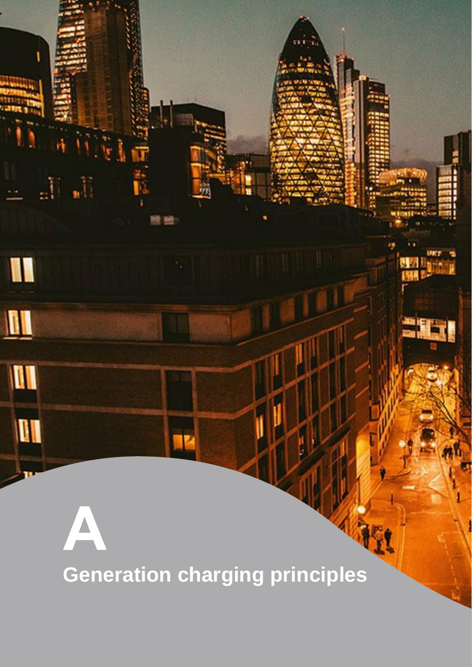<span id="page-17-0"></span>**Generation charging principles**

 $\mathbb{R}_1$ 

I

 $\blacksquare$ 

M

**AI** 

aÜ,

 $\Delta$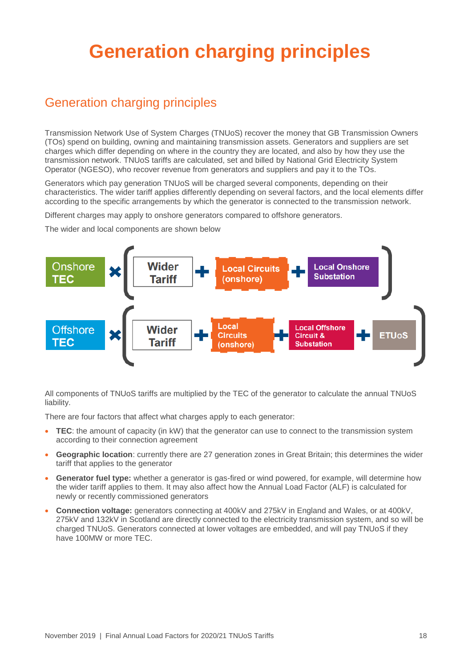# <span id="page-18-0"></span>**Generation charging principles**

## Generation charging principles

Transmission Network Use of System Charges (TNUoS) recover the money that GB Transmission Owners (TOs) spend on building, owning and maintaining transmission assets. Generators and suppliers are set charges which differ depending on where in the country they are located, and also by how they use the transmission network. TNUoS tariffs are calculated, set and billed by National Grid Electricity System Operator (NGESO), who recover revenue from generators and suppliers and pay it to the TOs.

Generators which pay generation TNUoS will be charged several components, depending on their characteristics. The wider tariff applies differently depending on several factors, and the local elements differ according to the specific arrangements by which the generator is connected to the transmission network.

Different charges may apply to onshore generators compared to offshore generators.

The wider and local components are shown below



All components of TNUoS tariffs are multiplied by the TEC of the generator to calculate the annual TNUoS liability.

There are four factors that affect what charges apply to each generator:

- **TEC**: the amount of capacity (in kW) that the generator can use to connect to the transmission system according to their connection agreement
- **Geographic location**: currently there are 27 generation zones in Great Britain; this determines the wider tariff that applies to the generator
- **Generator fuel type:** whether a generator is gas-fired or wind powered, for example, will determine how the wider tariff applies to them. It may also affect how the Annual Load Factor (ALF) is calculated for newly or recently commissioned generators
- **Connection voltage:** generators connecting at 400kV and 275kV in England and Wales, or at 400kV, 275kV and 132kV in Scotland are directly connected to the electricity transmission system, and so will be charged TNUoS. Generators connected at lower voltages are embedded, and will pay TNUoS if they have 100MW or more TEC.